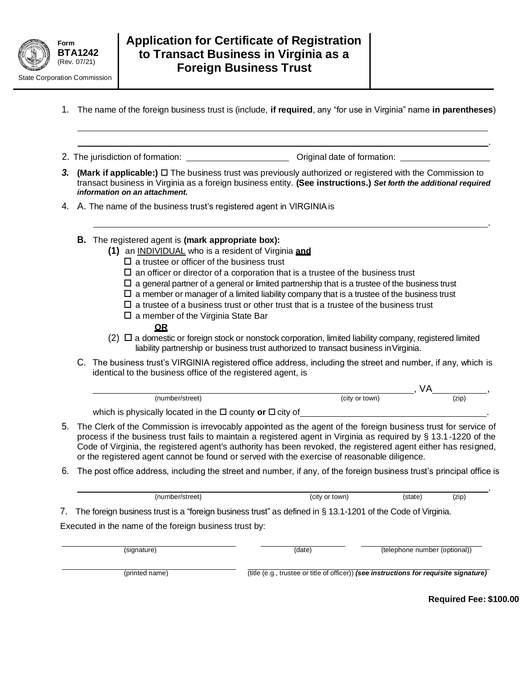

- 1. The name of the foreign business trust is (include, **if required**, any "for use in Virginia" name **in parentheses**)
- 2. The jurisdiction of formation: Original date of formation:
- *3.* **(Mark if applicable:)**  The business trust was previously authorized or registered with the Commission to transact business in Virginia as a foreign business entity. **(See instructions.)** *Set forth the additional required information on an attachment.*
- 4. A. The name of the business trust's registered agent in VIRGINIAis
	- **B.** The registered agent is **(mark appropriate box):**
		- **(1)** an INDIVIDUAL who is a resident of Virginia **and**
			- $\square$  a trustee or officer of the business trust
			- $\Box$  an officer or director of a corporation that is a trustee of the business trust
			- $\Box$  a general partner of a general or limited partnership that is a trustee of the business trust
			- $\square$  a member or manager of a limited liability company that is a trustee of the business trust
			- $\square$  a trustee of a business trust or other trust that is a trustee of the business trust
			- $\square$  a member of the Virginia State Bar

## **OR**

- $(2)$   $\Box$  a domestic or foreign stock or nonstock corporation, limited liability company, registered limited liability partnership or business trust authorized to transact business inVirginia.
- C. The business trust's VIRGINIA registered office address, including the street and number, if any, which is identical to the business office of the registered agent, is

| (number/street)                                                    | (city or town) | (zip) |  |
|--------------------------------------------------------------------|----------------|-------|--|
| which is physically located in the $\Box$ county or $\Box$ city of |                |       |  |

- 5. The Clerk of the Commission is irrevocably appointed as the agent of the foreign business trust for service of process if the business trust fails to maintain a registered agent in Virginia as required by § 13.1-1220 of the Code of Virginia, the registered agent's authority has been revoked, the registered agent either has resigned, or the registered agent cannot be found or served with the exercise of reasonable diligence.
- 6. The post office address, including the street and number, if any, of the foreign business trust's principal office is

| (number/street)                                                                                                | (city or town) | (state) | (zip) |  |
|----------------------------------------------------------------------------------------------------------------|----------------|---------|-------|--|
| 7. The foreign business trust is a "foreign business trust" as defined in § 13.1-1201 of the Code of Virginia. |                |         |       |  |
| Executed in the name of the foreign business trust by:                                                         |                |         |       |  |

| (signature)    | (date) | (telephone number (optional))                                                          |
|----------------|--------|----------------------------------------------------------------------------------------|
| (printed name) |        | (title (e.g., trustee or title of officer)) (see instructions for requisite signature) |

**Required Fee: \$100.00**

.

.

.